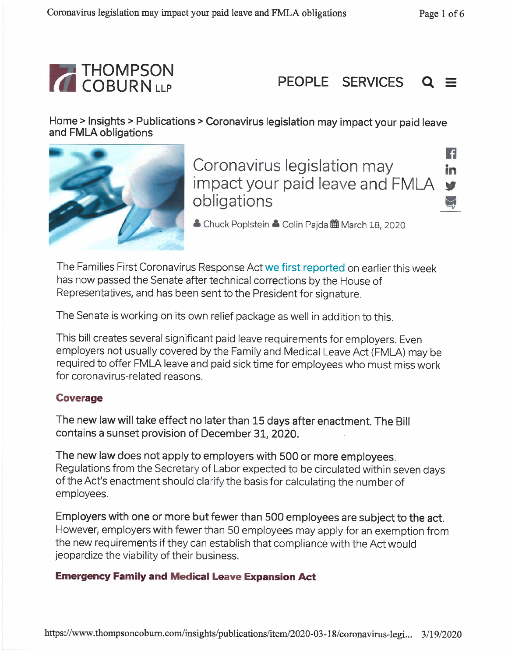H

in

v





Home > Insights > Publications > Coronavirus legislation may impact your paid leave and FMLA obligations



Coronavirus legislation may impact your paid leave and FMLA obligations

▲ Chuck PopIstein & Colin Pajda 曲 March 18, 2020

The Families First Coronavirus Response Act we first reported on earlier this week has now passed the Senate after technical corrections by the House of Representatives, and has been sent to the President for signature.

The Senate is working on its own relief package as well in addition to this.

This bill creates several significant paid leave requirements for employers. Even employers not usually covered by the Family and Medical Leave Act (FMLA) may be required to offer FMLA leave and paid sick time for employees who must miss work for coronavirus-related reasons.

## **Coverage**

The new law will take effect no later than 15 days after enactment. The Bill contains a sunset provision of December 31, 2020.

The new law does not apply to employers with 500 or more employees. Regulations from the Secretary of Labor expected to be circulated within seven days of the Act's enactment should clarify the basis for calculating the number of employees.

Employers with one or more but fewer than 500 employees are subject to the act. However, employers with fewer than 50 employees may apply for an exemption from the new requirements if they can establish that compliance with the Act would jeopardize the viability of their business.

## **Emergency Family and Medical Leave Expansion Act**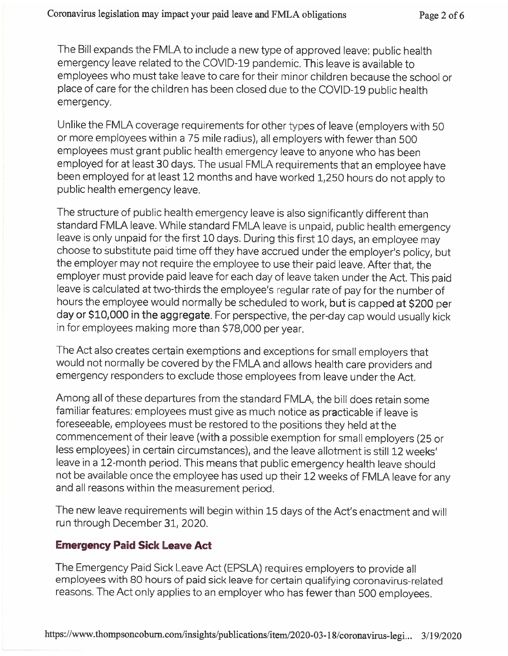The Bill expands the FMLA to include a new type of approved leave: public health emergency leave related to the COVID-19 pandemic. This leave is available to employees who must take leave to care for their minor children because the school or place of care for the children has been closed due to the COVID-19 public health emergency.

Unlike the FMLA coverage requirements for other types of leave (employers with 50 or more employees within a 75 mile radius), all employers with fewer than 500 employees must grant public health emergency leave to anyone who has been employed for at least 30 days. The usual FMLA requirements that an employee have been employed for at least 12 months and have worked 1,250 hours do not apply to apply to public health emergency leave.

The structure of public health emergency leave is also significantly different than standard FMLA leave. While standard FMLA leave is unpaid, public health emergency leave is only unpaid for the first 10 days. During this first 10 days, an employee may choose to substitute paid time off they have accrued under the employer's policy, but the employer may not require the employee to use their paid leave. After that, the employer must provide paid leave for each day of leave taken under the Act. This paid . leave is calculated at two-thirds the employee's regular rate of pay for the number of hours the employee would normally be scheduled to work, but is capped at \$200 per day or \$10,000 in the aggregate. For perspective, the per -day cap would usually kick in for employees making more than \$78,000 per year.

The Act also creates certain exemptions and exceptions for small employers that would not normally be covered by the FMLA and allows health care providers and emergency responders to exclude those employees from leave under the Act.

Among all of these departures from the standard FMLA, the bill does retain some familiar features: employees must give as much notice as practicable if leave is familiar features: employees must give as much notice as practicable if leave is foreseeable, employees must be restored to the positions they held at the commencement of their leave (with a possible exemption for small employers (25 or less employees) in certain circumstances), and the leave allotment is still 12 weeks' leave in a 12 -month period. This means that public emergency health leave should leave in a 12 -month period. This means that public emergency health leave should not be available once the employee has used up their 12 weeks of FMLA leave for any and all reasons within the measurement period.

The new leave requirements will begin within 15 days of the Act's enactment and will run through December 31, 2020.

## Emergency Paid Sick Leave Act

The Emergency Paid Sick Leave Act (EPSLA) requires employers to provide all employees with 80 hours of paid sick leave for certain qualifying coronavirus-related reasons. The Act only applies to an employer who has fewer than 500 employees.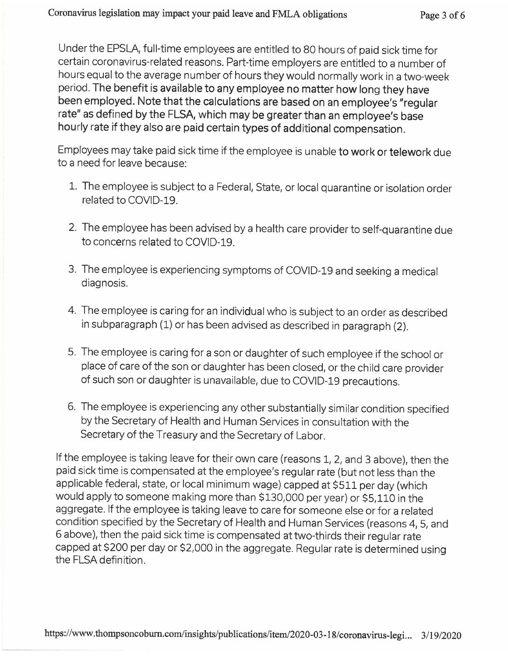hourly rate if they also are paid certain types of additional compensation. Under the EPSLA, full-time employees are entitled to 80 hours of paid sick time for certain coronavirus-related reasons. Part-time employers are entitled to a number of hours equal to the average number of hours they would normally work in a two-week period. The benefit is available to any employee no matter how long they have been employed. Note that the calculations are based on an employee's "regular . rate" as defined by the FLSA, which may be greater than an employee's base

Employees may take paid sick time if the employee is unable to work or telework due to a need for leave because: I

- 1. The employee is subject to a Federal, State, or local quarantine or isolation order related to COVID-19.
- 2. The employee has been advised by a health care provider to self -quarantine due to conc**e**rns rel**a**ted to COVID-19.
- 3. The employee is experiencing symptoms of COVID-19 and seeking a medical diagnosis.
- 4. The employee is caring for an individual who is subject to an order as described . in subparagraph (1) or has been advised as described in paragraph (2).
- 5. The employee is caring for a son or daughter of such employee if the school or place of care of the son or daughter has been closed, or the child care provider J of such son or daughter is unavailable, due to COVID-19 precautions.
- 6. The employee is experiencing any other substantially similar condition specified condition specified by the Secretary of Health and Human Services in consultation with the I Secretary of the Treasury and the Secretary of Labor.

If the employee is taking leave for their own care (reasons 1, 2, and 3 above), then the paid sick time is compensated at the employee's regular rate (but not less than the (but not less than theapplicable federal, state, or local minimum wage) capped at \$511 per day (which would apply to someone making more than \$130,000 per year) or \$5,110 in the aggregate. If the employee is taking leave to care for someone else or for a related condition specified by the Secretary of Health and Human Services (reasons 4, 5, and 6 above), then the paid sick time is compensated at two-thirds their regular rate capped at \$200 per day or \$2,000 in the aggregate. Regular rate is determined using the FLSA definition.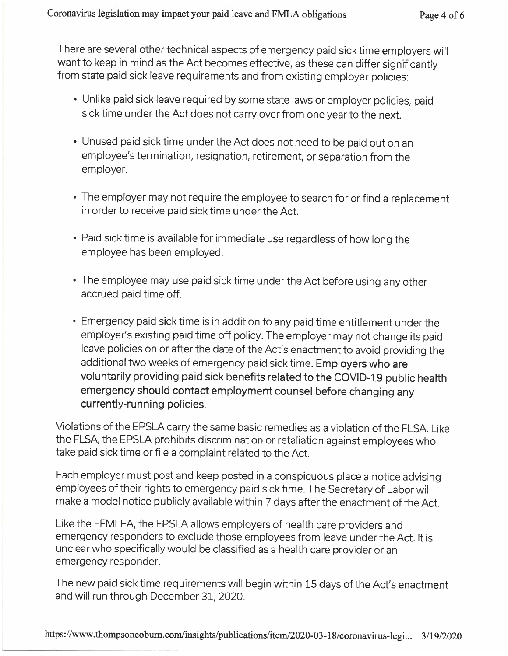There are several other technical aspects of emergency paid sick time employers will want to keep in mind as the Act becomes effective, as these can differ significantly . from state paid sick leave requirements and from existing employer policies:

- Unlike paid sick leave required by some state laws or employer policies, paid sick time under the Act does not carry over from one year to the next.
- Unused paid sick time under the Act does not need to be paid out on an employee's termination, resignation, retirement, or separation from the employer.
- The employer may not require the employee to search for or find a replacement<br>In order to receive paid sick time under the Act in order to receive paid sick time under the Act.
- Paid sick time is available for immediate use regardless of how long the employee has been employed.
- The employee may use paid sick time under the Act before using any other accrued paid time off.
- Emergency paid sick time is in addition to any paid time entitlement under the employer's existing paid time off policy. The employer may not change its paid leave policies on or after the date of the Act's enactment to avoid providing the additional two weeks of emergency paid sick time. E**mployers who are** voluntarily providing paid sick benefits related to the COVID-19 public health emergency should contact employment counsel before changing any currently -running policies. currently -running policies.

Violations of the EPSLA carry the same basic remedies as a violation of the FLSA. Like the FLSA, the EPSLA prohibits discrimination or retaliation against employees who take paid sick time or file a complaint related to the Act.

Each employer must post and keep posted in a conspicuous place a notice advising employees of their rights to emergency paid sick time. The Secretary of Labor will make a model notice publicly available within 7 days after the enactment of the Act make a model notice publicly available within 7 days after the enactment of the Act

Like the EFMLEA, the EPSLA allows employers of health care providers and emergency responders to exclude those employees from leave under the Act. It is unclear who specifically would be classified as a health care provider or an emergency responder. Like the EFMLEA, the EPSLA allows employers of health care providers and<br>emergency responders to exclude those employees from leave under the A<br>unclear who specifically would be classified as a health care provider or an<br>e

The new paid sick time requirements will begin within 15 days of the Act's enactment and will run through December 31, 2020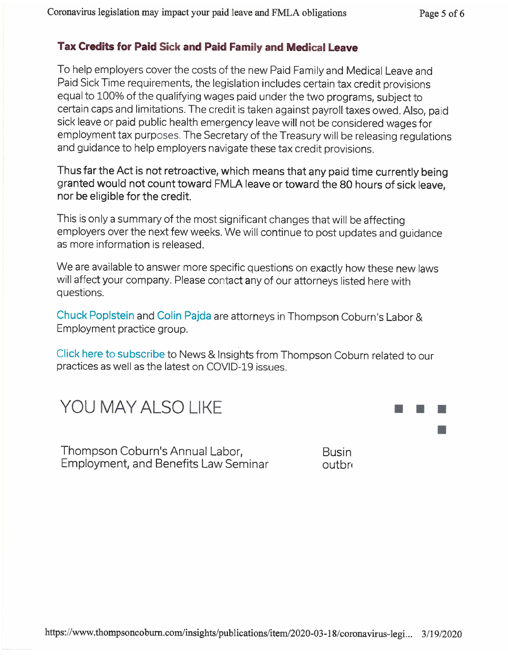...

**STAR** 

## Tax Credits for Paid Sick and Paid Family and Medical Leave

employment tax purposes. The Secretary of the Treasury will be releasing regulations To help employers cover the costs of the new Paid Family and Medical Leave and Paid Sick Time requirements, the legislation includes certain tax credit provisions equal to 100% of the qualifying wages paid under the two programs, subject to certain caps and limitations. The credit is taken against payroll taxes owed. Also, paid sick leave or paid public health emergency leave will not be considered wages for and guidance to help employers navigate these tax credit provisions. . and guidance to help employers navigate these tax credit provisions.

Thus far the Act is not retroactive, which means that any paid time currently being granted would not count toward FMLA leave or toward the 80 hours of sick leave, nor be eligible for the credit.

This is only a summary of the most significant changes that will be affecting employers over the next few weeks. We will continue to post updates and guidance as more information is released.

will affect your company. Please contact any of our attorneys listed here with We are available to answer more specific questions on exactly how these new laws questions.

Chuck Poplstein and Colin Pajda are attorneys in Thompson Coburn's Labor & Employment practice group.

Click here to subscribe to News & Insights from Thompson Coburn related to our practices as well as the latest on COVID-19 issues.

YOU MAY ALSO LIKE

Thompson Coburn's Annual Labor, Thompson Coburn's Annual Labor, Employment, and Benefits Law Seminar outbre